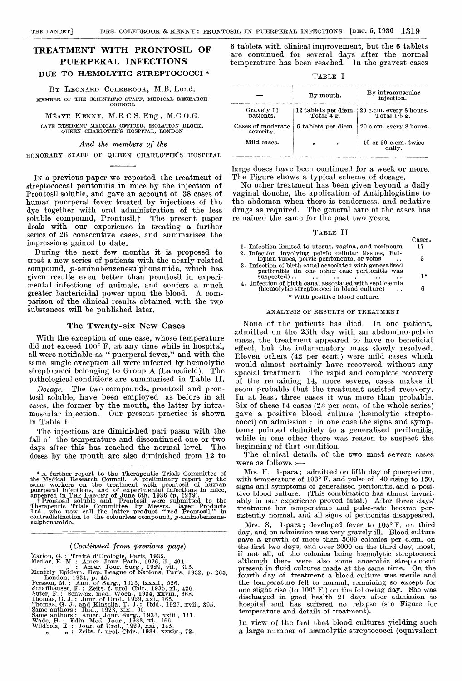# TREATMENT WITH PRONTOSIL OF PUERPERAL INFECTIONS DUE TO HÆMOLYTIC STREPTOCOCCI \*

BY LEONARD COLEBROOK, M.B. Lond. MEMBER OF THE SCIENTIFIC STAFF, MEDICAL RESEARCH COUNCIL

MÉAVE KENNY, M.R.C.S. Eng., M.C.O.G. LATE RESIDENT MEDICAL OFFICER, ISOLATION BLOCK, QUEEN CHARLOTTE'S HOSPITAL, LONDON

And the members of the

HONORARY STAFF OF QUEEN CHARLOTTE'S HOSPITAL

IN a previous paper we reported the treatment of streptococcal peritonitis in mice by the injection of Prontosil soluble, and gave an account of 38 cases of human puerperal fever treated by injections of the dye together with oral administration of the less soluble compound, Prontosil.<sup>†</sup> The present paper deals with our experience in treating a further series of 26 consecutive cases, and summarises the impressions gained to date.

During the next few months it is proposed to treat a new series of patients with the nearly related compound, p-aminobenzenesulphonamide, which has given results even better than prontosil in experimental infections of animals, and confers a much greater bactericidal power upon the blood. A comparison of the clinical results obtained with the two substances will be published later.

## The Twenty-six New Cases

With the exception of one case, whose temperature did not exceed 100° F. at any time while in hospital, all were notifiable as " puerperal fever," and with the same single exception all were infected by haemolytic streptococci belonging to Group A (Lancefield). The pathological conditions are summarised in Table II.

Dosage.-The two compounds, prontosil and prontosil soluble, have been employed as before in all cases, the former by the mouth, the latter by intramuscular injection. Our present practice is shown in Table I.

The injections are diminished pari passu with the fall of the temperature and discontinued one or two<br>days after this has reached the normal level. The days after this has reached the normal level. doses by the mouth are also diminished from 12 to

\* A further report to the Therapeutic Trials Committee of<br>the Medical Research Council. A preliminary report by the<br>same workers on the treatment with prontosil of human<br>puerperal infections, and of experimental infection

Therapeutic Trials Committee by Messrs. Bayer Products Ltd., who now call the latter product " red Prontosil," in contradistinction to the colourless compound,  $p$ -aminobenzene-sulphonamide.

# (Continued from previous page)

Marion, G. : Traité d'Urologie, Paris, 1935. Medlar, E. M. : Amer. Jour. Path., 1926, ii., 401. ,, ,, : Amer. Jour. Surg., 1929, vii., 605. Monthly Epidem. Rep. League of Nations, Paris, 1932, p. 265,<br>London, 1934, p. 45.<br>Persson, M.: Ann. of Surg., 1925, lxxxii., 526.<br>Schaffhauser, F.: Zeits. f. urol. Chir., 1935, xl., 426.<br>Suter, F.: Schweiz. med. Woch., 193

6 tablets with clinical improvement, but the 6 tablets are continued for several days after the normal temperature has been reached. In the gravest cases

TABLE I

|                                | $By$ mouth.                          |   | By intramuscular<br>injection.            |  |
|--------------------------------|--------------------------------------|---|-------------------------------------------|--|
| Gravely ill<br>patients.       | 12 tablets per diem.<br>Total $4g$ . |   | 20 c.cm. every 8 hours.<br>Total $1.5$ g. |  |
| Cases of moderate<br>severity. | 6 tablets per diem.                  |   | 20 c.cm. every 8 hours.                   |  |
| Mild cases.                    | $^{32}$                              | , | $10$ or $20$ c.cm. twice<br>daily.        |  |

large doses have been continued for a week or more. The Figure shows a typical scheme of dosage.

No other treatment has been given beyond a daily vaginal douche, the application of Antiphlogistine to the abdomen when there is tenderness, and sedative drugs as required. The general care of the cases has remained the same for the past two years.

#### TABLE II

 $\alpha$ ----

|                                                                                                                                       | . ases. |
|---------------------------------------------------------------------------------------------------------------------------------------|---------|
| 1. Infection limited to uterus, vagina, and perineum                                                                                  | 17      |
| 2. Infection involving pelvic cellular tissues, Fal-<br>lopian tubes, pelvic peritoneum, or veins                                     | 3       |
| 3. Infection of birth canal associated with generalised<br>peritonitis (in one other case peritonitis was<br>$suspected)$ .           | 1*      |
| 4. Infection of birth canal associated with septicamia<br>(hæmolytic streptococci in blood culture)<br>* With positive blood culture. | В       |
|                                                                                                                                       |         |

#### ANALYSIS OF RESULTS OF TREATMENT

None of the patients has died. In one patient, admitted on the 25th day with an abdomino-pelvic mass, the treatment appeared to have no beneficial effect, but the inflammatory mass slowly resolved. Eleven others (42 per cent.) were mild cases which would almost certainly have recovered without any special treatment. The rapid and complete recovery of the remaining 14, more severe, cases makes it seem probable that the treatment assisted recovery. In at least three cases it was more than probable. Six of these 14 cases (23 per cent. of the whole series) gave a positive blood culture (haemolytic streptococci) on admission ; in one case the signs and symptoms pointed definitely to a generalised peritonitis, while in one other there was reason to suspect the beginning of that condition.

The clinical details of the two most severe cases were as follows :-

Mrs. F. 1-para; admitted on fifth day of puerperium, with temperature of  $103^{\circ}$  F. and pulse of 140 rising to 150, signs and symptoms of generalised peritonitis, and a posi- tive blood culture. (This combination has almost invariably in our experience proved fatal.) After three days' treatment her temperature and pulse-rate became persistently normal, and all signs of peritonitis disappeared.

Mrs. S. 1-para; developed fever to 105° F. on third day, and on admission was very gravely ill. Blood culture gave a growth of more than 5000 colonies per c.cm. on the first two days, and over 3000 on the third day, most, if not all, of the colonies being haemolytic streptococci although there were also some anaerobic streptococci present in fluid cultures made at the same time. On the fourth day of treatment a blood culture was sterile and the temperature fell to normal, remaining so except for one slight rise (to 100° F.) on the following day. She was discharged in good health 21 days after admission to hospital and has suffered no relapse (see Figure for temperature and details of treatment).

In view of the fact that blood cultures yielding such a large number of haemolytic streptococci (equivalent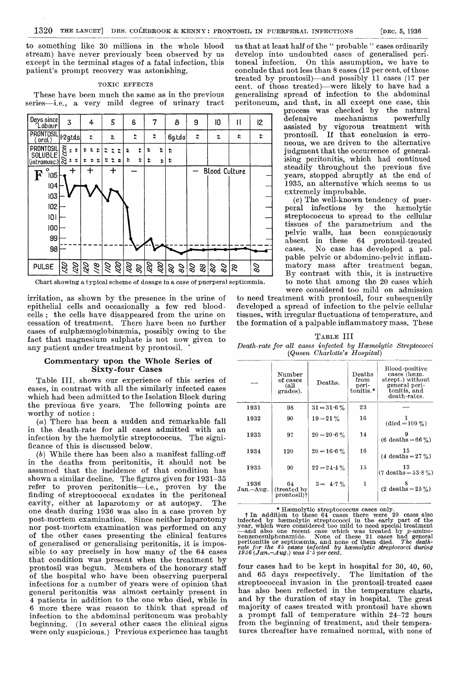to something like 30 millions in the whole blood stream) have never previously been observed by us except in the terminal stages of a fatal infection, this patient's prompt recovery was astonishing.

#### TOXIC EFFECTS

These have been much the same as in the previous series-i.e., a very mild degree of urinary tract



Chart showing a typical scheme of dosage in a case of puerperal septicaemia.

irritation, as shown by the presence in the urine of epithelial cells and occasionally a few red bloodcells ; the cells have disappeared from the urine on cessation of treatment. There have been no further cases of sulphaemoglobinsemia, possibly owing to the fact that magnesium sulphate is not now given to any patient under treatment by prontosil.

## Commentary upon the Whole Series of Sixty-four Cases

Table III. shows our experience of this series of cases, in contrast with all the similarly infected cases which had been admitted to the Isolation Block during the previous five years. The following points are worthy of notice :

(a) There has been a sudden and remarkable fall in the death-rate for all cases admitted with an infection by the haemolytic streptococcus. The significance of this is discussed below.<br>(b) While there has been also a manifest falling-off

 $(b)$  While there has been also a manifest falling-off in the deaths from peritonitis, it should not be assumed that the incidence of that condition has shown a similar decline. The figures given for 1931-35 refer to proven peritonitis-i.e., proven by the finding of streptococcal exudates in the peritoneal cavity, either at laparotomy or at autopsy. The one death during 1936 was also in a case proven by nor post-mortem examination was performed on any of the other cases presenting the clinical features of generalised or generalising peritonitis, it is impossible to say precisely in how many of the 64 cases that condition was present when the treatment by prontosil was begun. Members of the honorary staff of the hospital who have been observing puerperal infections for a number of years were of opinion that general peritonitis was almost certainly present in 4 patients in addition to the one who died, while in<br>6 more there was reason to think that spread of more there was reason to think that spread of infection to the abdominal peritoneum was probably<br>beginning. (In several other cases the clinical signs were only suspicious.) Previous experience has taught

us that at least half of the " probable " cases ordinarily develop into undoubted cases of generalised peritoneal infection. On this assumption, we have to conclude that not less than 8 cases (12 per cent. of those treated by prontosil)—and possibly 11 cases (17 per cent. of those treated)-were likely to have had a generalising spread of infection to the abdominal peritoneum, and that, in all except one case, this

process was checked by the natural<br>defensive mechanisms powerfully defensive mechanisms powerfully assisted by vigorous treatment with prontosil. If that conclusion is erroneous, we are driven to the alternative judgment that the occurrence of generalising peritonitis, which had continued steadily throughout the previous five years, stopped abruptly at the end of 1935, an alternative which seems to us extremely improbable.

(c) The well-known tendency of puer-<br>
ral infections by the hæmolytic peral infections by streptococcus to spread to the cellular tissues of the parametrium and the pelvic walls, has been conspicuously cases. No case has developed a palpable pelvic or abdomino-pelvic inflammatory mass after treatment began. By contrast with this, it is instructive to note that among the 20 cases which were considered too mild on admission

to need treatment with prontosil, four subsequently developed a spread of infection to the pelvic cellular tissues, with irregular fluctuations of temperature, and the formation of a palpable inflammatory mass. These

TABLE III

Death-rate for all cases infected by Hæmolytic Streptococci (Queen Charlotte's Hospital)

|                   | Number<br>of cases<br>(all<br>grades). | Deaths.       | $\rm{Deaths}$<br>from<br>peri-<br>tonitis.* | Blood-positive<br>cases (hæm.<br>strept.) without<br>general peri-<br>tonitis, and<br>death-rates. |
|-------------------|----------------------------------------|---------------|---------------------------------------------|----------------------------------------------------------------------------------------------------|
| 1931              | 98                                     | $31 - 31.6\%$ | 23                                          |                                                                                                    |
| 1932              | 90                                     | $19 = 21 \%$  | 16                                          | $(died = 100\%)$                                                                                   |
| 1933              | 97                                     | $20 = 20.6\%$ | 14                                          | $(6$ deaths = 66 %)                                                                                |
| 1934              | 120                                    | $20 = 16.6\%$ | 16                                          | 15<br>$(4 \text{ deaths} = 27 \%)$                                                                 |
| 1935              | 90                                     | $22 = 21.4\%$ | 15                                          | 13<br>$(7 \text{ deaths} = 53.8\%)$                                                                |
| 1936<br>Jan.–Aug. | 64<br>(treated by)<br>$prontosil$ )†   | $3 = 4.7\%$   | $\mathbf{1}$                                | $(2 \text{ deaths} = 25\%)$                                                                        |
|                   |                                        |               |                                             |                                                                                                    |

\* Hæmolytic streptococcus cases only.<br>
The addition to these 64 cases there were 20 cases also<br>
infected by hæmolytic streptococci in the early part of the<br>
year, which were considered too mild to need special treatment<br> benzenesulphonamide. None of these 21 cases had general peritonitis or septicaemia, and none of them died. The deathrate for the 85 cases infected by hæmolytic streptococci during<br>1936(Jan.—Aug.) was 3\*5 per cent.

four cases had to be kept in hospital for 30, 40, 60, and 65 days respectively. streptococcal invasion in the prontosil-treated cases has also been reflected in the temperature charts, and by the duration of stay in hospital. The great majority of cases treated with prontosil have shown a prompt fall of temperature within 24-72 hours from the beginning of treatment, and their temperatures thereafter have remained normal, with none of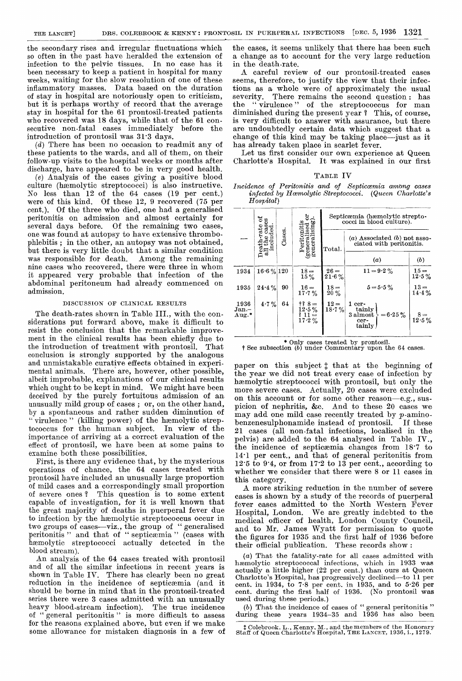the secondary rises and irregular fluctuations which so often in the past have heralded the extension of infection to the pelvic tissues. In no case has it been necessary to keep a patient in hospital for many weeks, waiting for the slow resolution of one of these inflammatory masses. Data based on the duration of stay in hospital are notoriously open to criticism, but it is perhaps worthy of record that the average stay in hospital for the 61 prontosil-treated patients who recovered was 18 days, while that of the 61 consecutive non-fatal cases immediately before the introduction of prontosil was 31'3 days.

(d) There has been no occasion to readmit any of these patients to the wards, and all of them, on their follow-up visits to the hospital weeks or months after discharge, have appeared to be in very good health.

(e) Analysis of the cases giving a positive blood culture (hæmolytic streptococci) is also instructive.<br>No less than 12 of the 64 cases (19 per cent.) were of this kind. Of these 12, 9 recovered (75 per cent.). Of the three who died, one had a generalised peritonitis on admission and almost certainly for several days before. Of the remaining two cases, one was found at autopsy to have extensive thrombophlebitis ; in the other, an autopsy was not obtained, but there is very little doubt that a similar condition was responsible for death. Among the remaining was responsible for death. nine cases who recovered, there were three in whom it appeared very probable that infection of the abdominal peritoneum had already commenced on admission.

#### DISCUSSION OF CLINICAL RESULTS

The death-rates shown in Table III., with the considerations put forward above, make it difficult to resist the conclusion that the remarkable improvement in the clinical results has been chiefly due to the introduction of treatment with prontosil. That conclusion is strongly supported by the analogous and unmistakable curative effects obtained in experimental animals. There are, however, other possible, albeit improbable, explanations of our clinical results which ought to be kept in mind. We might have been deceived by the purely fortuitous admission of an. unusually mild group of cases ; or, on the other hand, by a spontaneous and rather sudden diminution of "virulence" (killing power) of the haemolytic streptococcus for the human subject. In view of the importance of arriving at a correct evaluation of the effect of prontosil, we have been at some pains to examine both these possibilities.

First, is there any evidence that, by the mysterious operations of chance, the 64 cases treated with prontosil have included an unusually large proportion of mild cases and a correspondingly small proportion of severe ones ? This question is to some extent capable of investigation, for it is well known that the great majority of deaths in puerperal fever due to infection by the haemolytic streptococcus occur in two groups of cases-viz., the group of " generalised peritonitis " and that of " septicaemia " (cases with haemolytic streptococci actually detected in the

blood stream).<br>An analysis of the 64 cases treated with prontosil and of all the similar infections in recent years is shown in Table IV. There has clearly been no great reduction in the incidence of septicaemia (and it should be borne in mind that in the prontosil-treated series there were 3 cases admitted with an unusually heavy blood-stream infection). The true incidence of " general peritonitis " is more difficult to assess for the reasons explained above, but even if we make some allowance for mistaken diagnosis in a few of the cases, it seems unlikely that there has been such a change as to account for the very large reduction in the death-rate.

A careful review of our prontosil-treated cases seems, therefore, to justify the view that their infections as a whole were of approximately the usual severity. There remains the second question : has the " virulence " of the streptococcus for man diminished during the present year? This, of course, is very difficult to answer with assurance, but there are undoubtedly certain data which suggest that a change of this kind may be taking place-just as it has already taken place in scarlet fever.

Let us first consider our own experience at Queen Charlotte's Hospital. It was explained in our first

| т.<br><b>ABLE</b> |  |
|-------------------|--|
|-------------------|--|

Incidence of Peritonitis and of Septiccemia among cases infected by Hcemolytic Streptococci. (Queen Charlotte's  $H$ <sub>ospital</sub> $)$ 

|                             | Death-rate<br>all the case<br>included.<br>Cases. |    | ing)<br>onitis<br>ಕರ<br>Perite<br>general<br>general | Septicamia (hamolytic strepto-<br>cocci in blood culture). |                                                                                |                    |
|-----------------------------|---------------------------------------------------|----|------------------------------------------------------|------------------------------------------------------------|--------------------------------------------------------------------------------|--------------------|
|                             |                                                   |    |                                                      | Total.                                                     | $(a)$ Associated $(b)$ not asso-<br>ciated with peritonitis.                   |                    |
|                             |                                                   |    |                                                      |                                                            | (a)                                                                            | (b)                |
| 1934                        | $16.6\,\%$ 120                                    |    | $18 =$<br>15%                                        | $26=$<br>$21.6\%$                                          | $11 = 9.2\%$                                                                   | $15 =$<br>$12.5\%$ |
| 1935                        | $24.4\%$                                          | 90 | $16 =$<br>17.7%                                      | $18 =$<br>20%                                              | $5 = 5.5 \%$                                                                   | $13 =$<br>14.4%    |
| 1936<br>$Jan. -$<br>$Aug.*$ | $4.7\%$                                           | 64 | $^{+2.8}_{12.5\%}$<br>$311 -$<br>17.2%               | $12 =$<br>18.7%                                            | $1$ cer-<br>tainly<br>$= 6.25 \%$<br>$3\,\mathrm{almost}$<br>cer-<br>$\tanh v$ | $8 = 12.5\%$       |

\* Only cases treated by prontosil. t See subsection (b) under Commentary upon the 64 cases.

paper on this subject  $\ddagger$  that at the beginning of the year we did not treat every case of infection by haemolytic streptococci with prontosil, but only the more severe cases. Actually, 20 cases were excluded on this account or for some other reason-e.g., suspicion of nephritis, &c. And to these 20 cases we may add one mild case recently treated by  $p$ -amino-<br>benzenesulphonamide instead of prontosil. If these benzenesulphonamide instead of prontosil. 21 cases (all non-fatal infections, localised in the pelvis) are added to the 64 analysed in Table IV., the incidence of septicaemia changes from 18.7 to 14-1 per cent., and that of general peritonitis from 12.5 to 9.4, or from 17'2 to 13 per cent., according to whether we consider that there were 8 or 11 cases in this category.

A more striking reduction in the number of severe cases is shown by a study of the records of puerperal fever cases admitted to the North Western Fever Hospital, London. We are greatly indebted to the medical officer of health, London County Council, and to Mr. James Wyatt for permission to quote the figures for 1935 and the first half of 1936 before their official publication. These records show :

(a) That the fatality-rate for all cases admitted with haemolytic streptococcal infections, which in 1933 was actually a little higher (22 per cent.) than ours at Queen Charlotte's Hospital, has progressively declined-to 11 per cent. in 1934, to 7-8 per cent. in 1935, and to 5-26 per cent. during the first half of 1936. (No prontosil was used during these periods.)

(b) That the incidence of cases of " general peritonitis " during these years 1934-35 and 1936 has also been

THE LANCET]

t Colebrook. L., Kenny, M., and the members of the Honorary Staff of Queen Charlotte's Hospital, THE LANCET, 1936, i.,.1279.